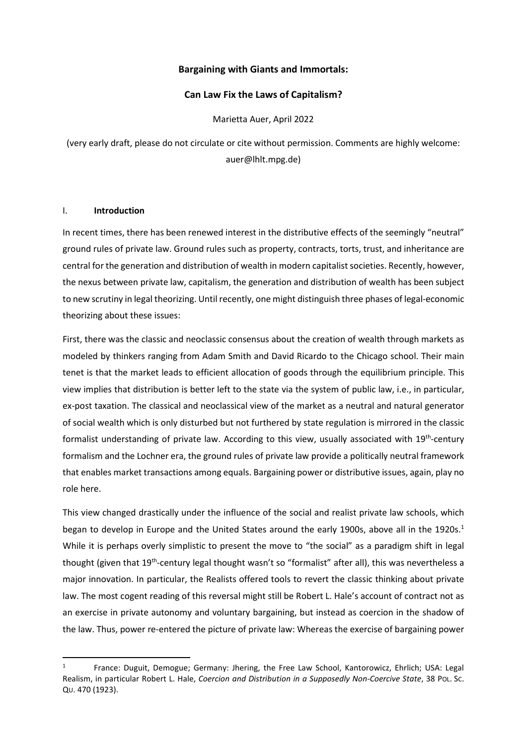# Bargaining with Giants and Immortals:

# Can Law Fix the Laws of Capitalism?

Marietta Auer, April 2022

(very early draft, please do not circulate or cite without permission. Comments are highly welcome: auer@lhlt.mpg.de)

# I. Introduction

 $\overline{a}$ 

In recent times, there has been renewed interest in the distributive effects of the seemingly "neutral" ground rules of private law. Ground rules such as property, contracts, torts, trust, and inheritance are central for the generation and distribution of wealth in modern capitalist societies. Recently, however, the nexus between private law, capitalism, the generation and distribution of wealth has been subject to new scrutiny in legal theorizing. Until recently, one might distinguish three phases of legal-economic theorizing about these issues:

First, there was the classic and neoclassic consensus about the creation of wealth through markets as modeled by thinkers ranging from Adam Smith and David Ricardo to the Chicago school. Their main tenet is that the market leads to efficient allocation of goods through the equilibrium principle. This view implies that distribution is better left to the state via the system of public law, i.e., in particular, ex-post taxation. The classical and neoclassical view of the market as a neutral and natural generator of social wealth which is only disturbed but not furthered by state regulation is mirrored in the classic formalist understanding of private law. According to this view, usually associated with 19<sup>th</sup>-century formalism and the Lochner era, the ground rules of private law provide a politically neutral framework that enables market transactions among equals. Bargaining power or distributive issues, again, play no role here.

This view changed drastically under the influence of the social and realist private law schools, which began to develop in Europe and the United States around the early 1900s, above all in the 1920s.<sup>1</sup> While it is perhaps overly simplistic to present the move to "the social" as a paradigm shift in legal thought (given that 19<sup>th</sup>-century legal thought wasn't so "formalist" after all), this was nevertheless a major innovation. In particular, the Realists offered tools to revert the classic thinking about private law. The most cogent reading of this reversal might still be Robert L. Hale's account of contract not as an exercise in private autonomy and voluntary bargaining, but instead as coercion in the shadow of the law. Thus, power re-entered the picture of private law: Whereas the exercise of bargaining power

<sup>1</sup> France: Duguit, Demogue; Germany: Jhering, the Free Law School, Kantorowicz, Ehrlich; USA: Legal Realism, in particular Robert L. Hale, Coercion and Distribution in a Supposedly Non-Coercive State, 38 Pol. Sc. QU. 470 (1923).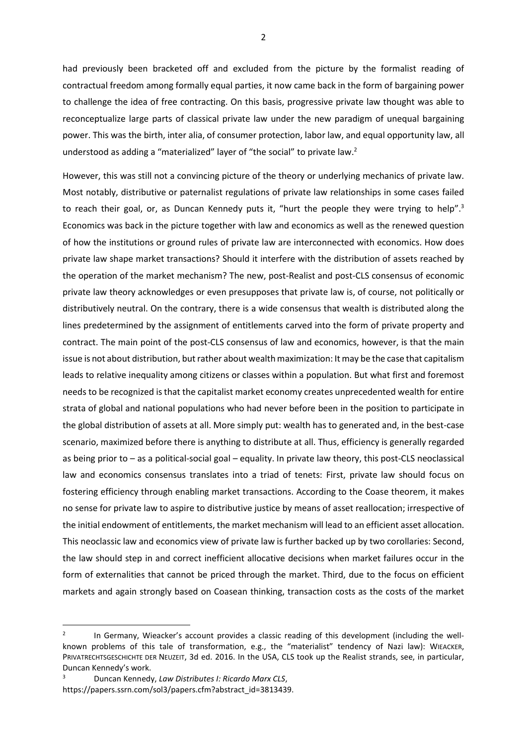had previously been bracketed off and excluded from the picture by the formalist reading of contractual freedom among formally equal parties, it now came back in the form of bargaining power to challenge the idea of free contracting. On this basis, progressive private law thought was able to reconceptualize large parts of classical private law under the new paradigm of unequal bargaining power. This was the birth, inter alia, of consumer protection, labor law, and equal opportunity law, all understood as adding a "materialized" layer of "the social" to private law.<sup>2</sup>

However, this was still not a convincing picture of the theory or underlying mechanics of private law. Most notably, distributive or paternalist regulations of private law relationships in some cases failed to reach their goal, or, as Duncan Kennedy puts it, "hurt the people they were trying to help".<sup>3</sup> Economics was back in the picture together with law and economics as well as the renewed question of how the institutions or ground rules of private law are interconnected with economics. How does private law shape market transactions? Should it interfere with the distribution of assets reached by the operation of the market mechanism? The new, post-Realist and post-CLS consensus of economic private law theory acknowledges or even presupposes that private law is, of course, not politically or distributively neutral. On the contrary, there is a wide consensus that wealth is distributed along the lines predetermined by the assignment of entitlements carved into the form of private property and contract. The main point of the post-CLS consensus of law and economics, however, is that the main issue is not about distribution, but rather about wealth maximization: It may be the case that capitalism leads to relative inequality among citizens or classes within a population. But what first and foremost needs to be recognized is that the capitalist market economy creates unprecedented wealth for entire strata of global and national populations who had never before been in the position to participate in the global distribution of assets at all. More simply put: wealth has to generated and, in the best-case scenario, maximized before there is anything to distribute at all. Thus, efficiency is generally regarded as being prior to – as a political-social goal – equality. In private law theory, this post-CLS neoclassical law and economics consensus translates into a triad of tenets: First, private law should focus on fostering efficiency through enabling market transactions. According to the Coase theorem, it makes no sense for private law to aspire to distributive justice by means of asset reallocation; irrespective of the initial endowment of entitlements, the market mechanism will lead to an efficient asset allocation. This neoclassic law and economics view of private law is further backed up by two corollaries: Second, the law should step in and correct inefficient allocative decisions when market failures occur in the form of externalities that cannot be priced through the market. Third, due to the focus on efficient markets and again strongly based on Coasean thinking, transaction costs as the costs of the market

<sup>2</sup> In Germany, Wieacker's account provides a classic reading of this development (including the wellknown problems of this tale of transformation, e.g., the "materialist" tendency of Nazi law): WIEACKER, PRIVATRECHTSGESCHICHTE DER NEUZEIT, 3d ed. 2016. In the USA, CLS took up the Realist strands, see, in particular, Duncan Kennedy's work.

<sup>3</sup> Duncan Kennedy, Law Distributes I: Ricardo Marx CLS, https://papers.ssrn.com/sol3/papers.cfm?abstract\_id=3813439.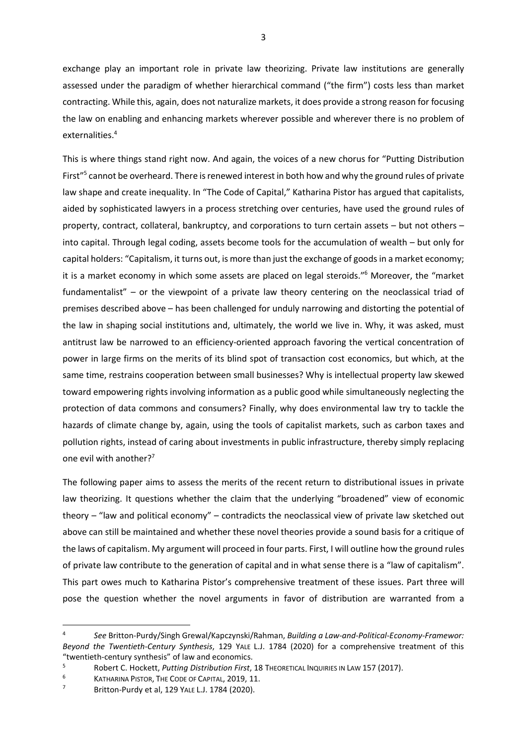exchange play an important role in private law theorizing. Private law institutions are generally assessed under the paradigm of whether hierarchical command ("the firm") costs less than market contracting. While this, again, does not naturalize markets, it does provide a strong reason for focusing the law on enabling and enhancing markets wherever possible and wherever there is no problem of externalities.<sup>4</sup>

This is where things stand right now. And again, the voices of a new chorus for "Putting Distribution First<sup>"5</sup> cannot be overheard. There is renewed interest in both how and why the ground rules of private law shape and create inequality. In "The Code of Capital," Katharina Pistor has argued that capitalists, aided by sophisticated lawyers in a process stretching over centuries, have used the ground rules of property, contract, collateral, bankruptcy, and corporations to turn certain assets – but not others – into capital. Through legal coding, assets become tools for the accumulation of wealth – but only for capital holders: "Capitalism, it turns out, is more than just the exchange of goods in a market economy; it is a market economy in which some assets are placed on legal steroids."<sup>6</sup> Moreover, the "market fundamentalist" – or the viewpoint of a private law theory centering on the neoclassical triad of premises described above – has been challenged for unduly narrowing and distorting the potential of the law in shaping social institutions and, ultimately, the world we live in. Why, it was asked, must antitrust law be narrowed to an efficiency-oriented approach favoring the vertical concentration of power in large firms on the merits of its blind spot of transaction cost economics, but which, at the same time, restrains cooperation between small businesses? Why is intellectual property law skewed toward empowering rights involving information as a public good while simultaneously neglecting the protection of data commons and consumers? Finally, why does environmental law try to tackle the hazards of climate change by, again, using the tools of capitalist markets, such as carbon taxes and pollution rights, instead of caring about investments in public infrastructure, thereby simply replacing one evil with another?<sup>7</sup>

The following paper aims to assess the merits of the recent return to distributional issues in private law theorizing. It questions whether the claim that the underlying "broadened" view of economic theory – "law and political economy" – contradicts the neoclassical view of private law sketched out above can still be maintained and whether these novel theories provide a sound basis for a critique of the laws of capitalism. My argument will proceed in four parts. First, I will outline how the ground rules of private law contribute to the generation of capital and in what sense there is a "law of capitalism". This part owes much to Katharina Pistor's comprehensive treatment of these issues. Part three will pose the question whether the novel arguments in favor of distribution are warranted from a

<sup>4</sup> See Britton-Purdy/Singh Grewal/Kapczynski/Rahman, Building a Law-and-Political-Economy-Framewor: Beyond the Twentieth-Century Synthesis, 129 YALE L.J. 1784 (2020) for a comprehensive treatment of this "twentieth-century synthesis" of law and economics.

<sup>5</sup> Robert C. Hockett, Putting Distribution First, 18 THEORETICAL INQUIRIES IN LAW 157 (2017).

<sup>6</sup> KATHARINA PISTOR, THE CODE OF CAPITAL, 2019, 11.

<sup>7</sup> Britton-Purdy et al, 129 YALE L.J. 1784 (2020).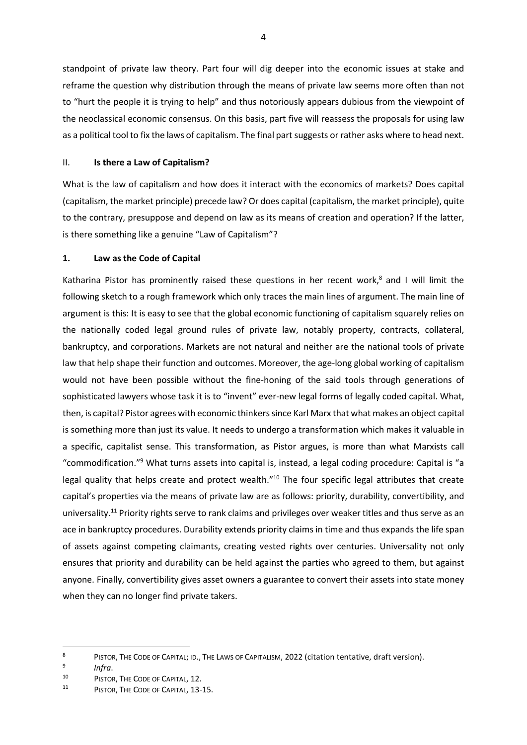standpoint of private law theory. Part four will dig deeper into the economic issues at stake and reframe the question why distribution through the means of private law seems more often than not to "hurt the people it is trying to help" and thus notoriously appears dubious from the viewpoint of the neoclassical economic consensus. On this basis, part five will reassess the proposals for using law as a political tool to fix the laws of capitalism. The final part suggests or rather asks where to head next.

# II. Is there a Law of Capitalism?

What is the law of capitalism and how does it interact with the economics of markets? Does capital (capitalism, the market principle) precede law? Or does capital (capitalism, the market principle), quite to the contrary, presuppose and depend on law as its means of creation and operation? If the latter, is there something like a genuine "Law of Capitalism"?

#### 1. Law as the Code of Capital

Katharina Pistor has prominently raised these questions in her recent work, $<sup>8</sup>$  and I will limit the</sup> following sketch to a rough framework which only traces the main lines of argument. The main line of argument is this: It is easy to see that the global economic functioning of capitalism squarely relies on the nationally coded legal ground rules of private law, notably property, contracts, collateral, bankruptcy, and corporations. Markets are not natural and neither are the national tools of private law that help shape their function and outcomes. Moreover, the age-long global working of capitalism would not have been possible without the fine-honing of the said tools through generations of sophisticated lawyers whose task it is to "invent" ever-new legal forms of legally coded capital. What, then, is capital? Pistor agrees with economic thinkers since Karl Marx that what makes an object capital is something more than just its value. It needs to undergo a transformation which makes it valuable in a specific, capitalist sense. This transformation, as Pistor argues, is more than what Marxists call "commodification."<sup>9</sup> What turns assets into capital is, instead, a legal coding procedure: Capital is "a legal quality that helps create and protect wealth."<sup>10</sup> The four specific legal attributes that create capital's properties via the means of private law are as follows: priority, durability, convertibility, and universality.<sup>11</sup> Priority rights serve to rank claims and privileges over weaker titles and thus serve as an ace in bankruptcy procedures. Durability extends priority claims in time and thus expands the life span of assets against competing claimants, creating vested rights over centuries. Universality not only ensures that priority and durability can be held against the parties who agreed to them, but against anyone. Finally, convertibility gives asset owners a guarantee to convert their assets into state money when they can no longer find private takers.

<sup>8</sup> PISTOR, THE CODE OF CAPITAL; ID., THE LAWS OF CAPITALISM, 2022 (citation tentative, draft version).

<sup>9</sup> Infra.

<sup>10</sup> PISTOR, THE CODE OF CAPITAL, 12.

<sup>11</sup> PISTOR, THE CODE OF CAPITAL, 13-15.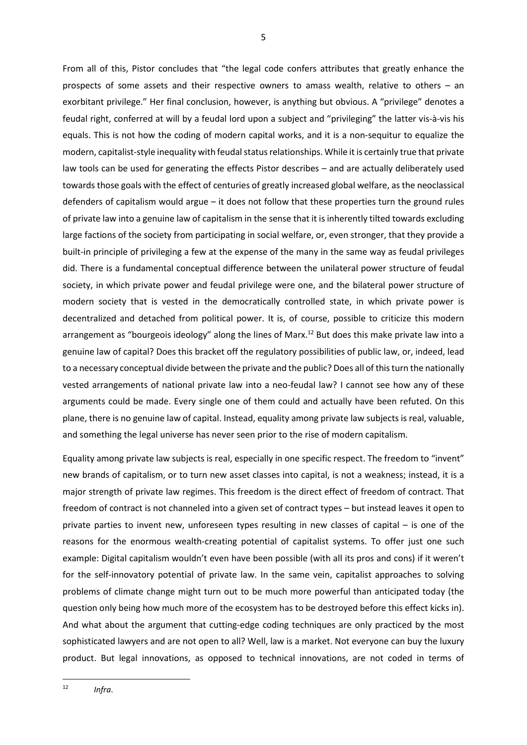From all of this, Pistor concludes that "the legal code confers attributes that greatly enhance the prospects of some assets and their respective owners to amass wealth, relative to others – an exorbitant privilege." Her final conclusion, however, is anything but obvious. A "privilege" denotes a feudal right, conferred at will by a feudal lord upon a subject and "privileging" the latter vis-à-vis his equals. This is not how the coding of modern capital works, and it is a non-sequitur to equalize the modern, capitalist-style inequality with feudal status relationships. While it is certainly true that private law tools can be used for generating the effects Pistor describes – and are actually deliberately used towards those goals with the effect of centuries of greatly increased global welfare, as the neoclassical defenders of capitalism would argue – it does not follow that these properties turn the ground rules of private law into a genuine law of capitalism in the sense that it is inherently tilted towards excluding large factions of the society from participating in social welfare, or, even stronger, that they provide a built-in principle of privileging a few at the expense of the many in the same way as feudal privileges did. There is a fundamental conceptual difference between the unilateral power structure of feudal society, in which private power and feudal privilege were one, and the bilateral power structure of modern society that is vested in the democratically controlled state, in which private power is decentralized and detached from political power. It is, of course, possible to criticize this modern arrangement as "bourgeois ideology" along the lines of Marx.<sup>12</sup> But does this make private law into a genuine law of capital? Does this bracket off the regulatory possibilities of public law, or, indeed, lead to a necessary conceptual divide between the private and the public? Does all of this turn the nationally vested arrangements of national private law into a neo-feudal law? I cannot see how any of these arguments could be made. Every single one of them could and actually have been refuted. On this plane, there is no genuine law of capital. Instead, equality among private law subjects is real, valuable, and something the legal universe has never seen prior to the rise of modern capitalism.

Equality among private law subjects is real, especially in one specific respect. The freedom to "invent" new brands of capitalism, or to turn new asset classes into capital, is not a weakness; instead, it is a major strength of private law regimes. This freedom is the direct effect of freedom of contract. That freedom of contract is not channeled into a given set of contract types – but instead leaves it open to private parties to invent new, unforeseen types resulting in new classes of capital – is one of the reasons for the enormous wealth-creating potential of capitalist systems. To offer just one such example: Digital capitalism wouldn't even have been possible (with all its pros and cons) if it weren't for the self-innovatory potential of private law. In the same vein, capitalist approaches to solving problems of climate change might turn out to be much more powerful than anticipated today (the question only being how much more of the ecosystem has to be destroyed before this effect kicks in). And what about the argument that cutting-edge coding techniques are only practiced by the most sophisticated lawyers and are not open to all? Well, law is a market. Not everyone can buy the luxury product. But legal innovations, as opposed to technical innovations, are not coded in terms of

 12 Infra.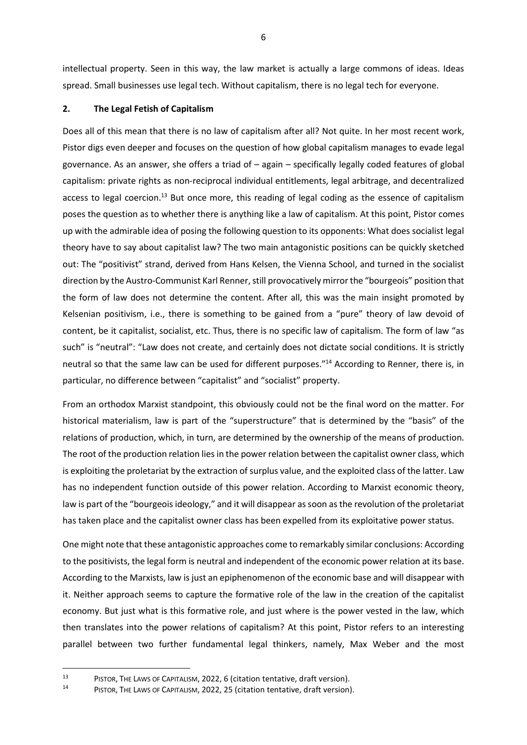intellectual property. Seen in this way, the law market is actually a large commons of ideas. Ideas spread. Small businesses use legal tech. Without capitalism, there is no legal tech for everyone.

# 2. The Legal Fetish of Capitalism

Does all of this mean that there is no law of capitalism after all? Not quite. In her most recent work, Pistor digs even deeper and focuses on the question of how global capitalism manages to evade legal governance. As an answer, she offers a triad of – again – specifically legally coded features of global capitalism: private rights as non-reciprocal individual entitlements, legal arbitrage, and decentralized access to legal coercion.<sup>13</sup> But once more, this reading of legal coding as the essence of capitalism poses the question as to whether there is anything like a law of capitalism. At this point, Pistor comes up with the admirable idea of posing the following question to its opponents: What does socialist legal theory have to say about capitalist law? The two main antagonistic positions can be quickly sketched out: The "positivist" strand, derived from Hans Kelsen, the Vienna School, and turned in the socialist direction by the Austro-Communist Karl Renner, still provocatively mirror the "bourgeois" position that the form of law does not determine the content. After all, this was the main insight promoted by Kelsenian positivism, i.e., there is something to be gained from a "pure" theory of law devoid of content, be it capitalist, socialist, etc. Thus, there is no specific law of capitalism. The form of law "as such" is "neutral": "Law does not create, and certainly does not dictate social conditions. It is strictly neutral so that the same law can be used for different purposes."<sup>14</sup> According to Renner, there is, in particular, no difference between "capitalist" and "socialist" property.

From an orthodox Marxist standpoint, this obviously could not be the final word on the matter. For historical materialism, law is part of the "superstructure" that is determined by the "basis" of the relations of production, which, in turn, are determined by the ownership of the means of production. The root of the production relation lies in the power relation between the capitalist owner class, which is exploiting the proletariat by the extraction of surplus value, and the exploited class of the latter. Law has no independent function outside of this power relation. According to Marxist economic theory, law is part of the "bourgeois ideology," and it will disappear as soon as the revolution of the proletariat has taken place and the capitalist owner class has been expelled from its exploitative power status.

One might note that these antagonistic approaches come to remarkably similar conclusions: According to the positivists, the legal form is neutral and independent of the economic power relation at its base. According to the Marxists, law is just an epiphenomenon of the economic base and will disappear with it. Neither approach seems to capture the formative role of the law in the creation of the capitalist economy. But just what is this formative role, and just where is the power vested in the law, which then translates into the power relations of capitalism? At this point, Pistor refers to an interesting parallel between two further fundamental legal thinkers, namely, Max Weber and the most

<sup>13</sup> PISTOR, THE LAWS OF CAPITALISM, 2022, 6 (citation tentative, draft version).

<sup>14</sup> PISTOR, THE LAWS OF CAPITALISM, 2022, 25 (citation tentative, draft version).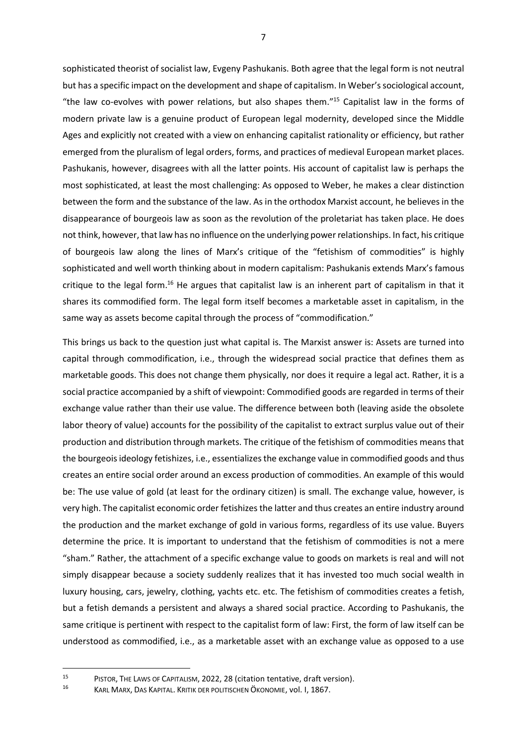sophisticated theorist of socialist law, Evgeny Pashukanis. Both agree that the legal form is not neutral but has a specific impact on the development and shape of capitalism. In Weber's sociological account, "the law co-evolves with power relations, but also shapes them."<sup>15</sup> Capitalist law in the forms of modern private law is a genuine product of European legal modernity, developed since the Middle Ages and explicitly not created with a view on enhancing capitalist rationality or efficiency, but rather emerged from the pluralism of legal orders, forms, and practices of medieval European market places. Pashukanis, however, disagrees with all the latter points. His account of capitalist law is perhaps the most sophisticated, at least the most challenging: As opposed to Weber, he makes a clear distinction between the form and the substance of the law. As in the orthodox Marxist account, he believes in the disappearance of bourgeois law as soon as the revolution of the proletariat has taken place. He does not think, however, that law has no influence on the underlying power relationships. In fact, his critique of bourgeois law along the lines of Marx's critique of the "fetishism of commodities" is highly sophisticated and well worth thinking about in modern capitalism: Pashukanis extends Marx's famous critique to the legal form.<sup>16</sup> He argues that capitalist law is an inherent part of capitalism in that it shares its commodified form. The legal form itself becomes a marketable asset in capitalism, in the same way as assets become capital through the process of "commodification."

This brings us back to the question just what capital is. The Marxist answer is: Assets are turned into capital through commodification, i.e., through the widespread social practice that defines them as marketable goods. This does not change them physically, nor does it require a legal act. Rather, it is a social practice accompanied by a shift of viewpoint: Commodified goods are regarded in terms of their exchange value rather than their use value. The difference between both (leaving aside the obsolete labor theory of value) accounts for the possibility of the capitalist to extract surplus value out of their production and distribution through markets. The critique of the fetishism of commodities means that the bourgeois ideology fetishizes, i.e., essentializes the exchange value in commodified goods and thus creates an entire social order around an excess production of commodities. An example of this would be: The use value of gold (at least for the ordinary citizen) is small. The exchange value, however, is very high. The capitalist economic order fetishizes the latter and thus creates an entire industry around the production and the market exchange of gold in various forms, regardless of its use value. Buyers determine the price. It is important to understand that the fetishism of commodities is not a mere "sham." Rather, the attachment of a specific exchange value to goods on markets is real and will not simply disappear because a society suddenly realizes that it has invested too much social wealth in luxury housing, cars, jewelry, clothing, yachts etc. etc. The fetishism of commodities creates a fetish, but a fetish demands a persistent and always a shared social practice. According to Pashukanis, the same critique is pertinent with respect to the capitalist form of law: First, the form of law itself can be understood as commodified, i.e., as a marketable asset with an exchange value as opposed to a use

<sup>15</sup> PISTOR, THE LAWS OF CAPITALISM, 2022, 28 (citation tentative, draft version).<br>16 KABLAARY DAS KARITAL KRITIK DER ROLLTISCHEN ÖKONOMIE VOL L. 1867

<sup>16</sup> KARL MARX, DAS KAPITAL. KRITIK DER POLITISCHEN ÖKONOMIE, vol. I, 1867.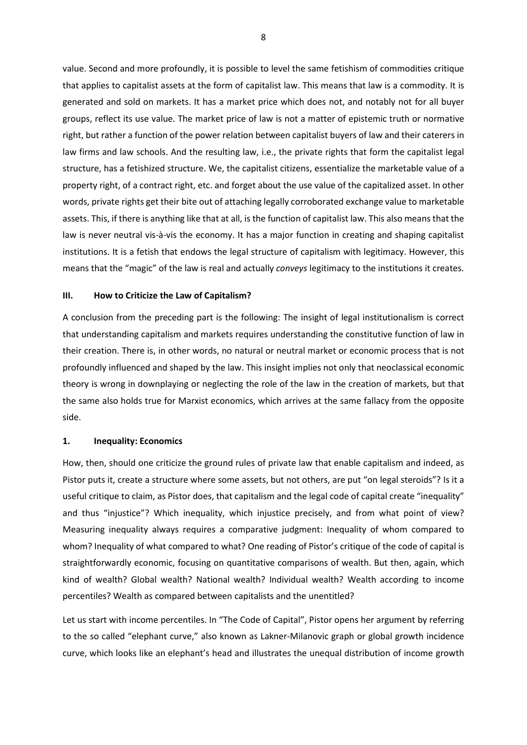value. Second and more profoundly, it is possible to level the same fetishism of commodities critique that applies to capitalist assets at the form of capitalist law. This means that law is a commodity. It is generated and sold on markets. It has a market price which does not, and notably not for all buyer groups, reflect its use value. The market price of law is not a matter of epistemic truth or normative right, but rather a function of the power relation between capitalist buyers of law and their caterers in law firms and law schools. And the resulting law, i.e., the private rights that form the capitalist legal structure, has a fetishized structure. We, the capitalist citizens, essentialize the marketable value of a property right, of a contract right, etc. and forget about the use value of the capitalized asset. In other words, private rights get their bite out of attaching legally corroborated exchange value to marketable assets. This, if there is anything like that at all, is the function of capitalist law. This also means that the law is never neutral vis-à-vis the economy. It has a major function in creating and shaping capitalist institutions. It is a fetish that endows the legal structure of capitalism with legitimacy. However, this means that the "magic" of the law is real and actually conveys legitimacy to the institutions it creates.

#### III. How to Criticize the Law of Capitalism?

A conclusion from the preceding part is the following: The insight of legal institutionalism is correct that understanding capitalism and markets requires understanding the constitutive function of law in their creation. There is, in other words, no natural or neutral market or economic process that is not profoundly influenced and shaped by the law. This insight implies not only that neoclassical economic theory is wrong in downplaying or neglecting the role of the law in the creation of markets, but that the same also holds true for Marxist economics, which arrives at the same fallacy from the opposite side.

#### 1. Inequality: Economics

How, then, should one criticize the ground rules of private law that enable capitalism and indeed, as Pistor puts it, create a structure where some assets, but not others, are put "on legal steroids"? Is it a useful critique to claim, as Pistor does, that capitalism and the legal code of capital create "inequality" and thus "injustice"? Which inequality, which injustice precisely, and from what point of view? Measuring inequality always requires a comparative judgment: Inequality of whom compared to whom? Inequality of what compared to what? One reading of Pistor's critique of the code of capital is straightforwardly economic, focusing on quantitative comparisons of wealth. But then, again, which kind of wealth? Global wealth? National wealth? Individual wealth? Wealth according to income percentiles? Wealth as compared between capitalists and the unentitled?

Let us start with income percentiles. In "The Code of Capital", Pistor opens her argument by referring to the so called "elephant curve," also known as Lakner-Milanovic graph or global growth incidence curve, which looks like an elephant's head and illustrates the unequal distribution of income growth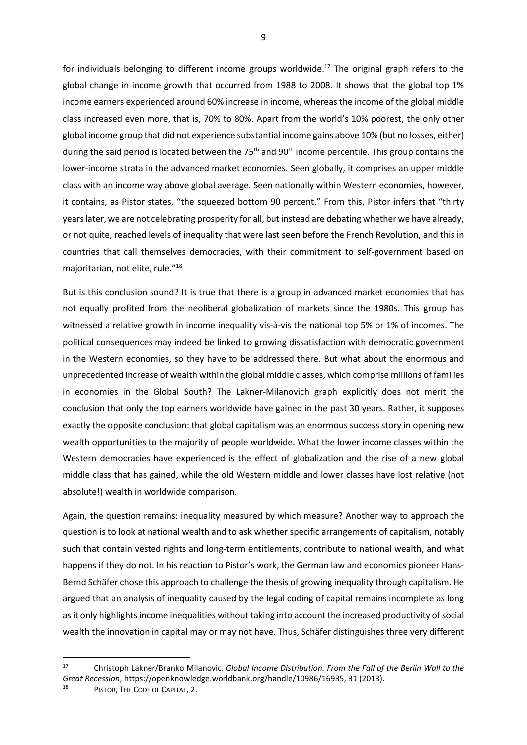for individuals belonging to different income groups worldwide.<sup>17</sup> The original graph refers to the global change in income growth that occurred from 1988 to 2008. It shows that the global top 1% income earners experienced around 60% increase in income, whereas the income of the global middle class increased even more, that is, 70% to 80%. Apart from the world's 10% poorest, the only other global income group that did not experience substantial income gains above 10% (but no losses, either) during the said period is located between the  $75<sup>th</sup>$  and  $90<sup>th</sup>$  income percentile. This group contains the lower-income strata in the advanced market economies. Seen globally, it comprises an upper middle class with an income way above global average. Seen nationally within Western economies, however, it contains, as Pistor states, "the squeezed bottom 90 percent." From this, Pistor infers that "thirty years later, we are not celebrating prosperity for all, but instead are debating whether we have already, or not quite, reached levels of inequality that were last seen before the French Revolution, and this in countries that call themselves democracies, with their commitment to self-government based on majoritarian, not elite, rule."<sup>18</sup>

But is this conclusion sound? It is true that there is a group in advanced market economies that has not equally profited from the neoliberal globalization of markets since the 1980s. This group has witnessed a relative growth in income inequality vis-à-vis the national top 5% or 1% of incomes. The political consequences may indeed be linked to growing dissatisfaction with democratic government in the Western economies, so they have to be addressed there. But what about the enormous and unprecedented increase of wealth within the global middle classes, which comprise millions of families in economies in the Global South? The Lakner-Milanovich graph explicitly does not merit the conclusion that only the top earners worldwide have gained in the past 30 years. Rather, it supposes exactly the opposite conclusion: that global capitalism was an enormous success story in opening new wealth opportunities to the majority of people worldwide. What the lower income classes within the Western democracies have experienced is the effect of globalization and the rise of a new global middle class that has gained, while the old Western middle and lower classes have lost relative (not absolute!) wealth in worldwide comparison.

Again, the question remains: inequality measured by which measure? Another way to approach the question is to look at national wealth and to ask whether specific arrangements of capitalism, notably such that contain vested rights and long-term entitlements, contribute to national wealth, and what happens if they do not. In his reaction to Pistor's work, the German law and economics pioneer Hans-Bernd Schäfer chose this approach to challenge the thesis of growing inequality through capitalism. He argued that an analysis of inequality caused by the legal coding of capital remains incomplete as long as it only highlights income inequalities without taking into account the increased productivity of social wealth the innovation in capital may or may not have. Thus, Schäfer distinguishes three very different

 $\overline{a}$ 

<sup>&</sup>lt;sup>17</sup> Christoph Lakner/Branko Milanovic, Global Income Distribution. From the Fall of the Berlin Wall to the Great Recession, https://openknowledge.worldbank.org/handle/10986/16935, 31 (2013).

<sup>18</sup> PISTOR, THE CODE OF CAPITAL, 2.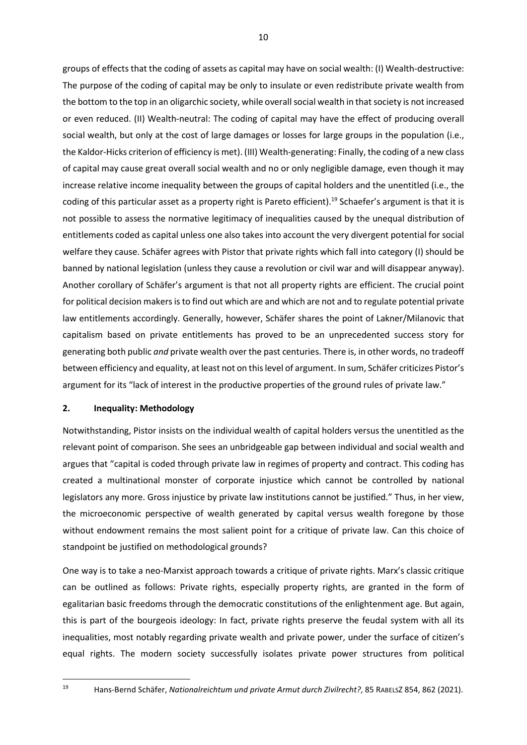groups of effects that the coding of assets as capital may have on social wealth: (I) Wealth-destructive: The purpose of the coding of capital may be only to insulate or even redistribute private wealth from the bottom to the top in an oligarchic society, while overall social wealth in that society is not increased or even reduced. (II) Wealth-neutral: The coding of capital may have the effect of producing overall social wealth, but only at the cost of large damages or losses for large groups in the population (i.e., the Kaldor-Hicks criterion of efficiency is met). (III) Wealth-generating: Finally, the coding of a new class of capital may cause great overall social wealth and no or only negligible damage, even though it may increase relative income inequality between the groups of capital holders and the unentitled (i.e., the coding of this particular asset as a property right is Pareto efficient).<sup>19</sup> Schaefer's argument is that it is not possible to assess the normative legitimacy of inequalities caused by the unequal distribution of entitlements coded as capital unless one also takes into account the very divergent potential for social welfare they cause. Schäfer agrees with Pistor that private rights which fall into category (I) should be banned by national legislation (unless they cause a revolution or civil war and will disappear anyway). Another corollary of Schäfer's argument is that not all property rights are efficient. The crucial point for political decision makers is to find out which are and which are not and to regulate potential private law entitlements accordingly. Generally, however, Schäfer shares the point of Lakner/Milanovic that capitalism based on private entitlements has proved to be an unprecedented success story for generating both public and private wealth over the past centuries. There is, in other words, no tradeoff between efficiency and equality, at least not on this level of argument. In sum, Schäfer criticizes Pistor's argument for its "lack of interest in the productive properties of the ground rules of private law."

# 2. Inequality: Methodology

Notwithstanding, Pistor insists on the individual wealth of capital holders versus the unentitled as the relevant point of comparison. She sees an unbridgeable gap between individual and social wealth and argues that "capital is coded through private law in regimes of property and contract. This coding has created a multinational monster of corporate injustice which cannot be controlled by national legislators any more. Gross injustice by private law institutions cannot be justified." Thus, in her view, the microeconomic perspective of wealth generated by capital versus wealth foregone by those without endowment remains the most salient point for a critique of private law. Can this choice of standpoint be justified on methodological grounds?

One way is to take a neo-Marxist approach towards a critique of private rights. Marx's classic critique can be outlined as follows: Private rights, especially property rights, are granted in the form of egalitarian basic freedoms through the democratic constitutions of the enlightenment age. But again, this is part of the bourgeois ideology: In fact, private rights preserve the feudal system with all its inequalities, most notably regarding private wealth and private power, under the surface of citizen's equal rights. The modern society successfully isolates private power structures from political

<sup>19</sup> Hans-Bernd Schäfer, Nationalreichtum und private Armut durch Zivilrecht?, 85 RABELSZ 854, 862 (2021).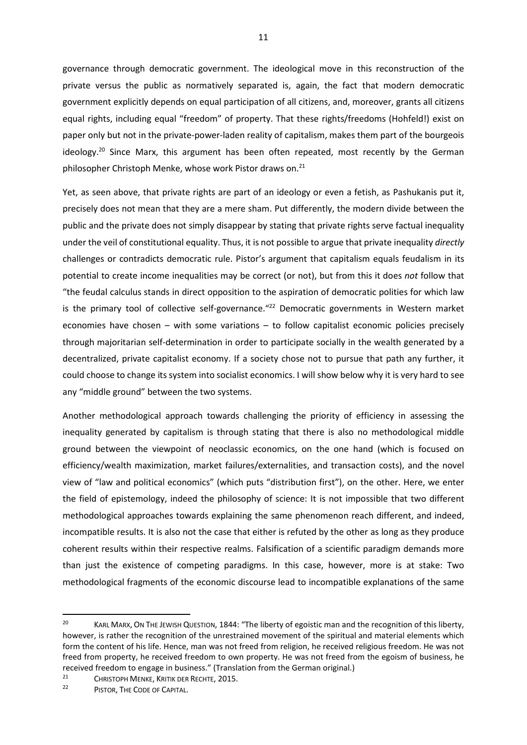governance through democratic government. The ideological move in this reconstruction of the private versus the public as normatively separated is, again, the fact that modern democratic government explicitly depends on equal participation of all citizens, and, moreover, grants all citizens equal rights, including equal "freedom" of property. That these rights/freedoms (Hohfeld!) exist on paper only but not in the private-power-laden reality of capitalism, makes them part of the bourgeois ideology.<sup>20</sup> Since Marx, this argument has been often repeated, most recently by the German philosopher Christoph Menke, whose work Pistor draws on.<sup>21</sup>

Yet, as seen above, that private rights are part of an ideology or even a fetish, as Pashukanis put it, precisely does not mean that they are a mere sham. Put differently, the modern divide between the public and the private does not simply disappear by stating that private rights serve factual inequality under the veil of constitutional equality. Thus, it is not possible to argue that private inequality directly challenges or contradicts democratic rule. Pistor's argument that capitalism equals feudalism in its potential to create income inequalities may be correct (or not), but from this it does not follow that "the feudal calculus stands in direct opposition to the aspiration of democratic polities for which law is the primary tool of collective self-governance."<sup>22</sup> Democratic governments in Western market economies have chosen – with some variations – to follow capitalist economic policies precisely through majoritarian self-determination in order to participate socially in the wealth generated by a decentralized, private capitalist economy. If a society chose not to pursue that path any further, it could choose to change its system into socialist economics. I will show below why it is very hard to see any "middle ground" between the two systems.

Another methodological approach towards challenging the priority of efficiency in assessing the inequality generated by capitalism is through stating that there is also no methodological middle ground between the viewpoint of neoclassic economics, on the one hand (which is focused on efficiency/wealth maximization, market failures/externalities, and transaction costs), and the novel view of "law and political economics" (which puts "distribution first"), on the other. Here, we enter the field of epistemology, indeed the philosophy of science: It is not impossible that two different methodological approaches towards explaining the same phenomenon reach different, and indeed, incompatible results. It is also not the case that either is refuted by the other as long as they produce coherent results within their respective realms. Falsification of a scientific paradigm demands more than just the existence of competing paradigms. In this case, however, more is at stake: Two methodological fragments of the economic discourse lead to incompatible explanations of the same

<sup>&</sup>lt;sup>20</sup> KARL MARX, ON THE JEWISH QUESTION, 1844: "The liberty of egoistic man and the recognition of this liberty, however, is rather the recognition of the unrestrained movement of the spiritual and material elements which form the content of his life. Hence, man was not freed from religion, he received religious freedom. He was not freed from property, he received freedom to own property. He was not freed from the egoism of business, he received freedom to engage in business." (Translation from the German original.)

<sup>&</sup>lt;sup>21</sup> CHRISTOPH MENKE, KRITIK DER RECHTE, 2015.

PISTOR, THE CODE OF CAPITAL.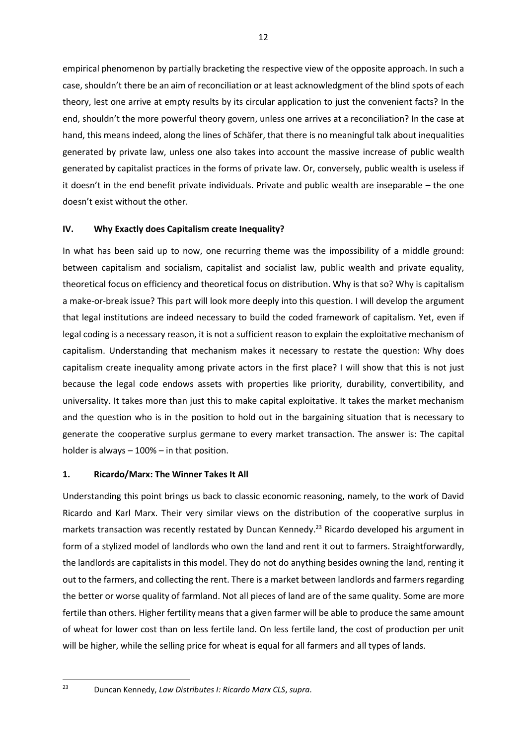empirical phenomenon by partially bracketing the respective view of the opposite approach. In such a case, shouldn't there be an aim of reconciliation or at least acknowledgment of the blind spots of each theory, lest one arrive at empty results by its circular application to just the convenient facts? In the end, shouldn't the more powerful theory govern, unless one arrives at a reconciliation? In the case at hand, this means indeed, along the lines of Schäfer, that there is no meaningful talk about inequalities generated by private law, unless one also takes into account the massive increase of public wealth generated by capitalist practices in the forms of private law. Or, conversely, public wealth is useless if it doesn't in the end benefit private individuals. Private and public wealth are inseparable – the one doesn't exist without the other.

#### IV. Why Exactly does Capitalism create Inequality?

In what has been said up to now, one recurring theme was the impossibility of a middle ground: between capitalism and socialism, capitalist and socialist law, public wealth and private equality, theoretical focus on efficiency and theoretical focus on distribution. Why is that so? Why is capitalism a make-or-break issue? This part will look more deeply into this question. I will develop the argument that legal institutions are indeed necessary to build the coded framework of capitalism. Yet, even if legal coding is a necessary reason, it is not a sufficient reason to explain the exploitative mechanism of capitalism. Understanding that mechanism makes it necessary to restate the question: Why does capitalism create inequality among private actors in the first place? I will show that this is not just because the legal code endows assets with properties like priority, durability, convertibility, and universality. It takes more than just this to make capital exploitative. It takes the market mechanism and the question who is in the position to hold out in the bargaining situation that is necessary to generate the cooperative surplus germane to every market transaction. The answer is: The capital holder is always – 100% – in that position.

#### 1. Ricardo/Marx: The Winner Takes It All

Understanding this point brings us back to classic economic reasoning, namely, to the work of David Ricardo and Karl Marx. Their very similar views on the distribution of the cooperative surplus in markets transaction was recently restated by Duncan Kennedy.<sup>23</sup> Ricardo developed his argument in form of a stylized model of landlords who own the land and rent it out to farmers. Straightforwardly, the landlords are capitalists in this model. They do not do anything besides owning the land, renting it out to the farmers, and collecting the rent. There is a market between landlords and farmers regarding the better or worse quality of farmland. Not all pieces of land are of the same quality. Some are more fertile than others. Higher fertility means that a given farmer will be able to produce the same amount of wheat for lower cost than on less fertile land. On less fertile land, the cost of production per unit will be higher, while the selling price for wheat is equal for all farmers and all types of lands.

<sup>&</sup>lt;sup>23</sup> Duncan Kennedy, Law Distributes *I: Ricardo Marx CLS*, supra.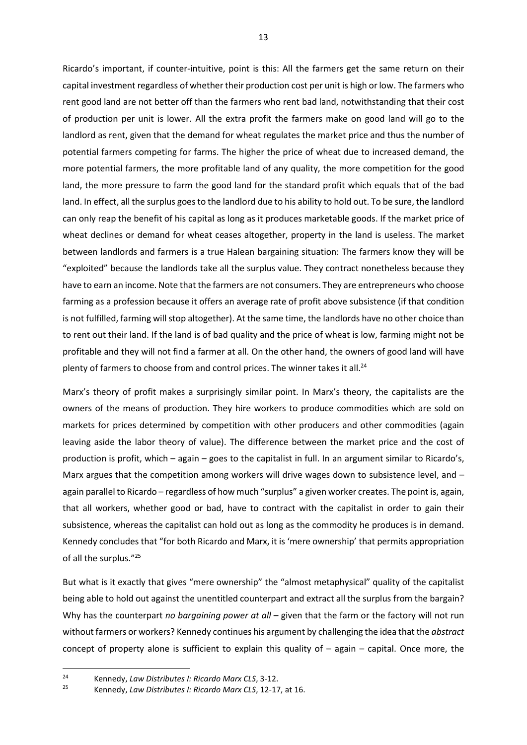Ricardo's important, if counter-intuitive, point is this: All the farmers get the same return on their capital investment regardless of whether their production cost per unit is high or low. The farmers who rent good land are not better off than the farmers who rent bad land, notwithstanding that their cost of production per unit is lower. All the extra profit the farmers make on good land will go to the landlord as rent, given that the demand for wheat regulates the market price and thus the number of potential farmers competing for farms. The higher the price of wheat due to increased demand, the more potential farmers, the more profitable land of any quality, the more competition for the good land, the more pressure to farm the good land for the standard profit which equals that of the bad land. In effect, all the surplus goes to the landlord due to his ability to hold out. To be sure, the landlord can only reap the benefit of his capital as long as it produces marketable goods. If the market price of wheat declines or demand for wheat ceases altogether, property in the land is useless. The market between landlords and farmers is a true Halean bargaining situation: The farmers know they will be "exploited" because the landlords take all the surplus value. They contract nonetheless because they have to earn an income. Note that the farmers are not consumers. They are entrepreneurs who choose farming as a profession because it offers an average rate of profit above subsistence (if that condition is not fulfilled, farming will stop altogether). At the same time, the landlords have no other choice than to rent out their land. If the land is of bad quality and the price of wheat is low, farming might not be profitable and they will not find a farmer at all. On the other hand, the owners of good land will have plenty of farmers to choose from and control prices. The winner takes it all.<sup>24</sup>

Marx's theory of profit makes a surprisingly similar point. In Marx's theory, the capitalists are the owners of the means of production. They hire workers to produce commodities which are sold on markets for prices determined by competition with other producers and other commodities (again leaving aside the labor theory of value). The difference between the market price and the cost of production is profit, which – again – goes to the capitalist in full. In an argument similar to Ricardo's, Marx argues that the competition among workers will drive wages down to subsistence level, and again parallel to Ricardo – regardless of how much "surplus" a given worker creates. The point is, again, that all workers, whether good or bad, have to contract with the capitalist in order to gain their subsistence, whereas the capitalist can hold out as long as the commodity he produces is in demand. Kennedy concludes that "for both Ricardo and Marx, it is 'mere ownership' that permits appropriation of all the surplus."<sup>25</sup>

But what is it exactly that gives "mere ownership" the "almost metaphysical" quality of the capitalist being able to hold out against the unentitled counterpart and extract all the surplus from the bargain? Why has the counterpart no bargaining power at all – given that the farm or the factory will not run without farmers or workers? Kennedy continues his argument by challenging the idea that the abstract concept of property alone is sufficient to explain this quality of  $-$  again  $-$  capital. Once more, the

<sup>&</sup>lt;sup>24</sup> Kennedy, Law Distributes I: Ricardo Marx CLS, 3-12.<br><sup>25</sup> Kennedy, Law Distributes I: Bicardo Marx CLS, 12-17

<sup>25</sup> Kennedy, Law Distributes I: Ricardo Marx CLS, 12-17, at 16.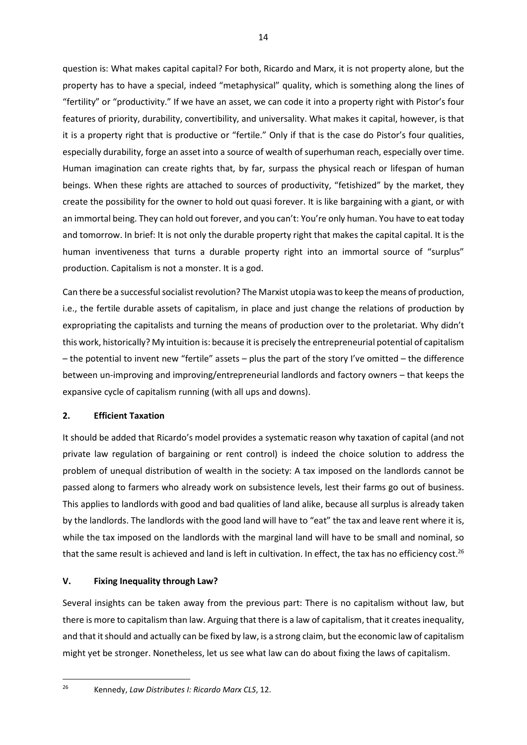question is: What makes capital capital? For both, Ricardo and Marx, it is not property alone, but the property has to have a special, indeed "metaphysical" quality, which is something along the lines of "fertility" or "productivity." If we have an asset, we can code it into a property right with Pistor's four features of priority, durability, convertibility, and universality. What makes it capital, however, is that it is a property right that is productive or "fertile." Only if that is the case do Pistor's four qualities, especially durability, forge an asset into a source of wealth of superhuman reach, especially over time. Human imagination can create rights that, by far, surpass the physical reach or lifespan of human beings. When these rights are attached to sources of productivity, "fetishized" by the market, they create the possibility for the owner to hold out quasi forever. It is like bargaining with a giant, or with an immortal being. They can hold out forever, and you can't: You're only human. You have to eat today and tomorrow. In brief: It is not only the durable property right that makes the capital capital. It is the human inventiveness that turns a durable property right into an immortal source of "surplus" production. Capitalism is not a monster. It is a god.

Can there be a successful socialist revolution? The Marxist utopia was to keep the means of production, i.e., the fertile durable assets of capitalism, in place and just change the relations of production by expropriating the capitalists and turning the means of production over to the proletariat. Why didn't this work, historically? My intuition is: because it is precisely the entrepreneurial potential of capitalism – the potential to invent new "fertile" assets – plus the part of the story I've omitted – the difference between un-improving and improving/entrepreneurial landlords and factory owners – that keeps the expansive cycle of capitalism running (with all ups and downs).

# 2. Efficient Taxation

It should be added that Ricardo's model provides a systematic reason why taxation of capital (and not private law regulation of bargaining or rent control) is indeed the choice solution to address the problem of unequal distribution of wealth in the society: A tax imposed on the landlords cannot be passed along to farmers who already work on subsistence levels, lest their farms go out of business. This applies to landlords with good and bad qualities of land alike, because all surplus is already taken by the landlords. The landlords with the good land will have to "eat" the tax and leave rent where it is, while the tax imposed on the landlords with the marginal land will have to be small and nominal, so that the same result is achieved and land is left in cultivation. In effect, the tax has no efficiency cost.<sup>26</sup>

# V. Fixing Inequality through Law?

Several insights can be taken away from the previous part: There is no capitalism without law, but there is more to capitalism than law. Arguing that there is a law of capitalism, that it creates inequality, and that it should and actually can be fixed by law, is a strong claim, but the economic law of capitalism might yet be stronger. Nonetheless, let us see what law can do about fixing the laws of capitalism.

<sup>26</sup> Kennedy, Law Distributes I: Ricardo Marx CLS, 12.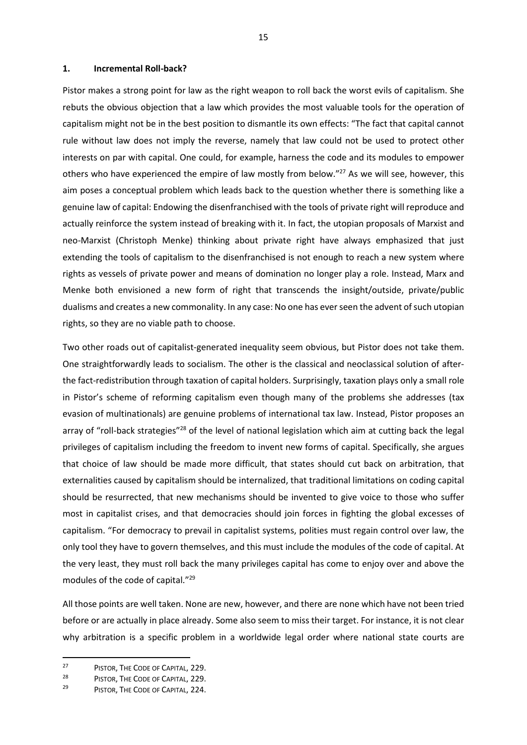#### 1. Incremental Roll-back?

Pistor makes a strong point for law as the right weapon to roll back the worst evils of capitalism. She rebuts the obvious objection that a law which provides the most valuable tools for the operation of capitalism might not be in the best position to dismantle its own effects: "The fact that capital cannot rule without law does not imply the reverse, namely that law could not be used to protect other interests on par with capital. One could, for example, harness the code and its modules to empower others who have experienced the empire of law mostly from below."<sup>27</sup> As we will see, however, this aim poses a conceptual problem which leads back to the question whether there is something like a genuine law of capital: Endowing the disenfranchised with the tools of private right will reproduce and actually reinforce the system instead of breaking with it. In fact, the utopian proposals of Marxist and neo-Marxist (Christoph Menke) thinking about private right have always emphasized that just extending the tools of capitalism to the disenfranchised is not enough to reach a new system where rights as vessels of private power and means of domination no longer play a role. Instead, Marx and Menke both envisioned a new form of right that transcends the insight/outside, private/public dualisms and creates a new commonality. In any case: No one has ever seen the advent of such utopian rights, so they are no viable path to choose.

Two other roads out of capitalist-generated inequality seem obvious, but Pistor does not take them. One straightforwardly leads to socialism. The other is the classical and neoclassical solution of afterthe fact-redistribution through taxation of capital holders. Surprisingly, taxation plays only a small role in Pistor's scheme of reforming capitalism even though many of the problems she addresses (tax evasion of multinationals) are genuine problems of international tax law. Instead, Pistor proposes an array of "roll-back strategies"<sup>28</sup> of the level of national legislation which aim at cutting back the legal privileges of capitalism including the freedom to invent new forms of capital. Specifically, she argues that choice of law should be made more difficult, that states should cut back on arbitration, that externalities caused by capitalism should be internalized, that traditional limitations on coding capital should be resurrected, that new mechanisms should be invented to give voice to those who suffer most in capitalist crises, and that democracies should join forces in fighting the global excesses of capitalism. "For democracy to prevail in capitalist systems, polities must regain control over law, the only tool they have to govern themselves, and this must include the modules of the code of capital. At the very least, they must roll back the many privileges capital has come to enjoy over and above the modules of the code of capital."<sup>29</sup>

All those points are well taken. None are new, however, and there are none which have not been tried before or are actually in place already. Some also seem to miss their target. For instance, it is not clear why arbitration is a specific problem in a worldwide legal order where national state courts are

 $\overline{a}$ 

<sup>&</sup>lt;sup>27</sup> PISTOR, THE CODE OF CAPITAL, 229.

<sup>28</sup> PISTOR, THE CODE OF CAPITAL, 229.

PISTOR, THE CODE OF CAPITAL, 224.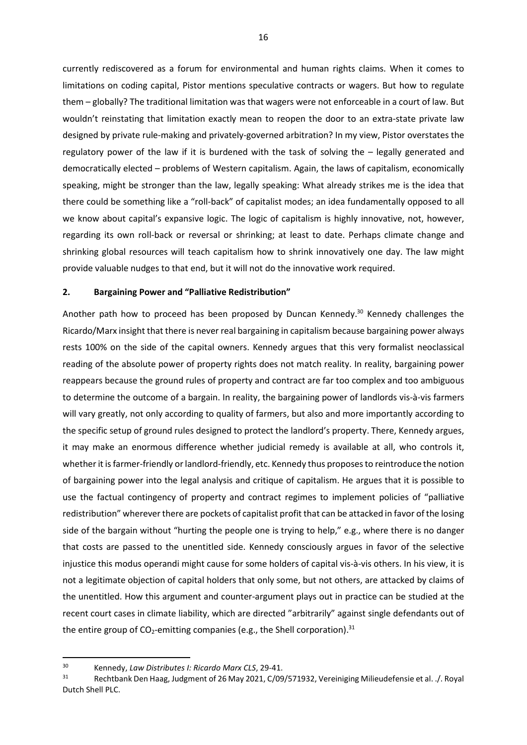currently rediscovered as a forum for environmental and human rights claims. When it comes to limitations on coding capital, Pistor mentions speculative contracts or wagers. But how to regulate them – globally? The traditional limitation was that wagers were not enforceable in a court of law. But wouldn't reinstating that limitation exactly mean to reopen the door to an extra-state private law designed by private rule-making and privately-governed arbitration? In my view, Pistor overstates the regulatory power of the law if it is burdened with the task of solving the – legally generated and democratically elected – problems of Western capitalism. Again, the laws of capitalism, economically speaking, might be stronger than the law, legally speaking: What already strikes me is the idea that there could be something like a "roll-back" of capitalist modes; an idea fundamentally opposed to all we know about capital's expansive logic. The logic of capitalism is highly innovative, not, however, regarding its own roll-back or reversal or shrinking; at least to date. Perhaps climate change and shrinking global resources will teach capitalism how to shrink innovatively one day. The law might provide valuable nudges to that end, but it will not do the innovative work required.

### 2. Bargaining Power and "Palliative Redistribution"

Another path how to proceed has been proposed by Duncan Kennedy.<sup>30</sup> Kennedy challenges the Ricardo/Marx insight that there is never real bargaining in capitalism because bargaining power always rests 100% on the side of the capital owners. Kennedy argues that this very formalist neoclassical reading of the absolute power of property rights does not match reality. In reality, bargaining power reappears because the ground rules of property and contract are far too complex and too ambiguous to determine the outcome of a bargain. In reality, the bargaining power of landlords vis-à-vis farmers will vary greatly, not only according to quality of farmers, but also and more importantly according to the specific setup of ground rules designed to protect the landlord's property. There, Kennedy argues, it may make an enormous difference whether judicial remedy is available at all, who controls it, whether it is farmer-friendly or landlord-friendly, etc. Kennedy thus proposes to reintroduce the notion of bargaining power into the legal analysis and critique of capitalism. He argues that it is possible to use the factual contingency of property and contract regimes to implement policies of "palliative redistribution" wherever there are pockets of capitalist profit that can be attacked in favor of the losing side of the bargain without "hurting the people one is trying to help," e.g., where there is no danger that costs are passed to the unentitled side. Kennedy consciously argues in favor of the selective injustice this modus operandi might cause for some holders of capital vis-à-vis others. In his view, it is not a legitimate objection of capital holders that only some, but not others, are attacked by claims of the unentitled. How this argument and counter-argument plays out in practice can be studied at the recent court cases in climate liability, which are directed "arbitrarily" against single defendants out of the entire group of CO<sub>2</sub>-emitting companies (e.g., the Shell corporation).<sup>31</sup>

 $\overline{a}$ 

<sup>30</sup> Kennedy, Law Distributes I: Ricardo Marx CLS, 29-41.

<sup>31</sup> Rechtbank Den Haag, Judgment of 26 May 2021, C/09/571932, Vereiniging Milieudefensie et al. ./. Royal Dutch Shell PLC.